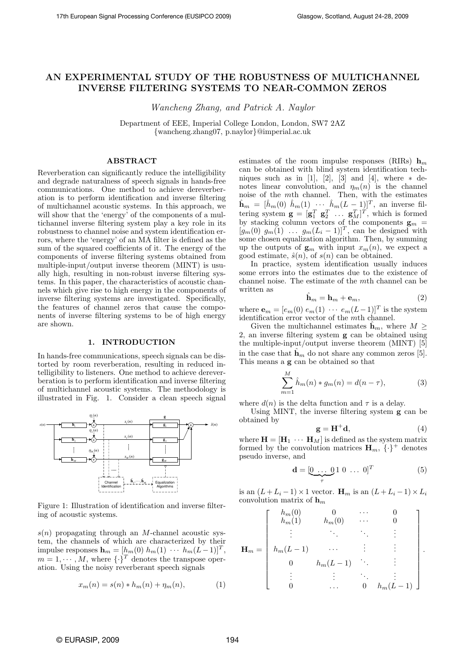# AN EXPERIMENTAL STUDY OF THE ROBUSTNESS OF MULTICHANNEL INVERSE FILTERING SYSTEMS TO NEAR-COMMON ZEROS

Wancheng Zhang, and Patrick A. Naylor

Department of EEE, Imperial College London, London, SW7 2AZ {wancheng.zhang07, p.naylor}@imperial.ac.uk

## ABSTRACT

Reverberation can significantly reduce the intelligibility and degrade naturalness of speech signals in hands-free communications. One method to achieve dereverberation is to perform identification and inverse filtering of multichannel acoustic systems. In this approach, we will show that the 'energy' of the components of a multichannel inverse filtering system play a key role in its robustness to channel noise and system identification errors, where the 'energy' of an MA filter is defined as the sum of the squared coefficients of it. The energy of the components of inverse filtering systems obtained from multiple-input/output inverse theorem (MINT) is usually high, resulting in non-robust inverse filtering systems. In this paper, the characteristics of acoustic channels which give rise to high energy in the components of inverse filtering systems are investigated. Specifically, the features of channel zeros that cause the components of inverse filtering systems to be of high energy are shown.

#### 1. INTRODUCTION

In hands-free communications, speech signals can be distorted by room reverberation, resulting in reduced intelligibility to listeners. One method to achieve dereverberation is to perform identification and inverse filtering of multichannel acoustic systems. The methodology is illustrated in Fig. 1. Consider a clean speech signal



Figure 1: Illustration of identification and inverse filtering of acoustic systems.

 $s(n)$  propagating through an M-channel acoustic system, the channels of which are characterized by their impulse responses  $\mathbf{h}_m = [h_m(0) \; h_m(1) \; \cdots \; h_m(L-1)]^T$ ,  $m = 1, \cdots, M$ , where  $\{\cdot\}^T$  denotes the transpose operation. Using the noisy reverberant speech signals

$$
x_m(n) = s(n) * h_m(n) + \eta_m(n),
$$
 (1)

estimates of the room impulse responses (RIRs)  $h_m$ can be obtained with blind system identification techniques such as in [1], [2], [3] and [4], where  $*$  denotes linear convolution, and  $\eta_m(n)$  is the channel noise of the mth channel. Then, with the estimates  $\hat{\mathbf{h}}_m = [\hat{h}_m(0) \ \hat{h}_m(1) \ \cdots \ \hat{h}_m(L-1)]^T$ , an inverse filtering system  $\mathbf{g} = [\mathbf{g}_1^T \ \mathbf{g}_2^T \ \dots \ \mathbf{g}_M^T]^T$ , which is formed by stacking column vectors of the components  $\mathbf{g}_m =$  $[g_m(0) \, g_m(1) \, \ldots \, g_m(L_i-1)]^T$ , can be designed with some chosen equalization algorithm. Then, by summing up the outputs of  $\mathbf{g}_m$  with input  $x_m(n)$ , we expect a good estimate,  $\hat{s}(n)$ , of  $s(n)$  can be obtained.

In practice, system identification usually induces some errors into the estimates due to the existence of channel noise. The estimate of the mth channel can be written as

$$
\hat{\mathbf{h}}_m = \mathbf{h}_m + \mathbf{e}_m,\tag{2}
$$

where  $\mathbf{e}_m = [e_m(0) \ e_m(1) \ \cdots \ e_m(L-1)]^T$  is the system identification error vector of the mth channel.

Given the multichannel estimates  $h_m$ , where  $M \geq$ 2, an inverse filtering system g can be obtained using the multiple-input/output inverse theorem (MINT) [5] in the case that  $\hat{\mathbf{h}}_m$  do not share any common zeros [5]. This means a g can be obtained so that

$$
\sum_{m=1}^{M} \hat{h}_{m}(n) * g_{m}(n) = d(n - \tau),
$$
 (3)

where  $d(n)$  is the delta function and  $\tau$  is a delay.

Using MINT, the inverse filtering system g can be obtained by

$$
\mathbf{g} = \mathbf{H}^+ \mathbf{d},\tag{4}
$$

where  $\mathbf{H} = [\mathbf{H}_1 \cdots \mathbf{H}_M]$  is defined as the system matrix formed by the convolution matrices  $\mathbf{H}_m$ ,  $\{\cdot\}^+$  denotes pseudo inverse, and

$$
\mathbf{d} = [\underbrace{0 \ \dots \ 0}_{\tau} 1 \ 0 \ \dots \ 0]^T \tag{5}
$$

is an  $(L+L_i-1)\times 1$  vector.  $\mathbf{H}_m$  is an  $(L+L_i-1)\times L_i$ convolution matrix of  $\mathbf{h}_m$ 

$$
\mathbf{H}_{m} = \left[ \begin{array}{ccccc} h_{m}(0) & 0 & \cdots & 0 \\ h_{m}(1) & h_{m}(0) & \cdots & 0 \\ \vdots & \ddots & \ddots & \vdots \\ h_{m}(L-1) & \cdots & \vdots & \vdots \\ 0 & h_{m}(L-1) & \ddots & \vdots \\ \vdots & \vdots & \ddots & \vdots \\ 0 & \cdots & 0 & h_{m}(L-1) \end{array} \right].
$$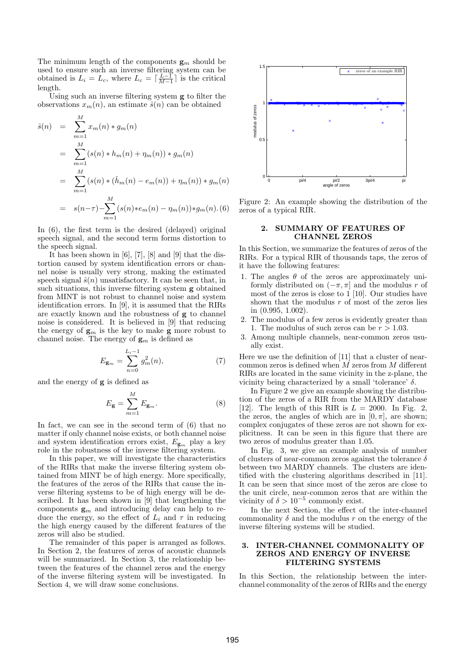The minimum length of the components  $\mathbf{g}_m$  should be used to ensure such an inverse filtering system can be obtained is  $L_i = L_c$ , where  $L_c = \lceil \frac{L-1}{M-1} \rceil$  is the critical length.

Using such an inverse filtering system g to filter the observations  $x_m(n)$ , an estimate  $\hat{s}(n)$  can be obtained

$$
\hat{s}(n) = \sum_{m=1}^{M} x_m(n) * g_m(n)
$$
  
= 
$$
\sum_{m=1}^{M} (s(n) * h_m(n) + \eta_m(n)) * g_m(n)
$$
  
= 
$$
\sum_{m=1}^{M} (s(n) * (\hat{h}_m(n) - e_m(n)) + \eta_m(n)) * g_m(n)
$$
  
= 
$$
s(n-\tau) - \sum_{m=1}^{M} (s(n) * e_m(n) - \eta_m(n)) * g_m(n).
$$
(6)

In (6), the first term is the desired (delayed) original speech signal, and the second term forms distortion to the speech signal.

It has been shown in [6], [7], [8] and [9] that the distortion caused by system identification errors or channel noise is usually very strong, making the estimated speech signal  $\hat{s}(n)$  unsatisfactory. It can be seen that, in such situations, this inverse filtering system g obtained from MINT is not robust to channel noise and system identification errors. In [9], it is assumed that the RIRs are exactly known and the robustness of g to channel noise is considered. It is believed in [9] that reducing the energy of  $\mathbf{g}_m$  is the key to make  $\mathbf{g}$  more robust to channel noise. The energy of  $\mathbf{g}_m$  is defined as

$$
E_{\mathbf{g}_m} = \sum_{n=0}^{L_i - 1} g_m^2(n),\tag{7}
$$

and the energy of g is defined as

$$
E_{\mathbf{g}} = \sum_{m=1}^{M} E_{\mathbf{g}_m}.\tag{8}
$$

In fact, we can see in the second term of (6) that no matter if only channel noise exists, or both channel noise and system identification errors exist,  $E_{\mathbf{g}_m}$  play a key role in the robustness of the inverse filtering system.

In this paper, we will investigate the characteristics of the RIRs that make the inverse filtering system obtained from MINT be of high energy. More specifically, the features of the zeros of the RIRs that cause the inverse filtering systems to be of high energy will be described. It has been shown in [9] that lengthening the components  $g_m$  and introducing delay can help to reduce the energy, so the effect of  $L_i$  and  $\tau$  in reducing the high energy caused by the different features of the zeros will also be studied.

The remainder of this paper is arranged as follows. In Section 2, the features of zeros of acoustic channels will be summarized. In Section 3, the relationship between the features of the channel zeros and the energy of the inverse filtering system will be investigated. In Section 4, we will draw some conclusions.



Figure 2: An example showing the distribution of the zeros of a typical RIR.

## 2. SUMMARY OF FEATURES OF CHANNEL ZEROS

In this Section, we summarize the features of zeros of the RIRs. For a typical RIR of thousands taps, the zeros of it have the following features:

- 1. The angles  $\theta$  of the zeros are approximately uniformly distributed on  $(-\pi, \pi]$  and the modulus r of most of the zeros is close to  $1$  [10]. Our studies have shown that the modulus  $r$  of most of the zeros lies in (0.995, 1.002).
- 2. The modulus of a few zeros is evidently greater than 1. The modulus of such zeros can be  $r > 1.03$ .
- 3. Among multiple channels, near-common zeros usually exist.

Here we use the definition of [11] that a cluster of nearcommon zeros is defined when M zeros from M different RIRs are located in the same vicinity in the z-plane, the vicinity being characterized by a small 'tolerance' δ.

In Figure 2 we give an example showing the distribution of the zeros of a RIR from the MARDY database [12]. The length of this RIR is  $L = 2000$ . In Fig. 2, the zeros, the angles of which are in  $[0, \pi]$ , are shown; complex conjugates of these zeros are not shown for explicitness. It can be seen in this figure that there are two zeros of modulus greater than 1.05.

In Fig. 3, we give an example analysis of number of clusters of near-common zeros against the tolerance  $\delta$ between two MARDY channels. The clusters are identified with the clustering algorithms described in [11]. It can be seen that since most of the zeros are close to the unit circle, near-common zeros that are within the vicinity of  $\delta > 10^{-5}$  commonly exist.

In the next Section, the effect of the inter-channel commonality  $\delta$  and the modulus r on the energy of the inverse filtering systems will be studied.

#### 3. INTER-CHANNEL COMMONALITY OF ZEROS AND ENERGY OF INVERSE FILTERING SYSTEMS

In this Section, the relationship between the interchannel commonality of the zeros of RIRs and the energy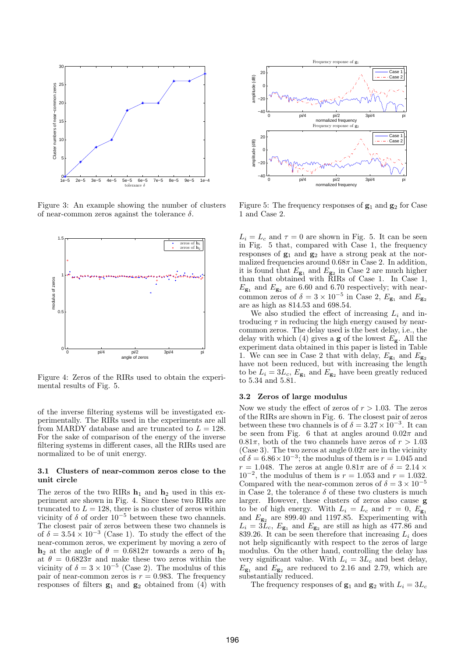

Figure 3: An example showing the number of clusters of near-common zeros against the tolerance  $\delta$ .



Figure 4: Zeros of the RIRs used to obtain the experimental results of Fig. 5.

of the inverse filtering systems will be investigated experimentally. The RIRs used in the experiments are all from MARDY database and are truncated to  $L = 128$ . For the sake of comparison of the energy of the inverse filtering systems in different cases, all the RIRs used are normalized to be of unit energy.

#### 3.1 Clusters of near-common zeros close to the unit circle

The zeros of the two RIRs  $\mathbf{h}_1$  and  $\mathbf{h}_2$  used in this experiment are shown in Fig. 4. Since these two RIRs are truncated to  $L = 128$ , there is no cluster of zeros within vicinity of  $\delta$  of order  $10^{-5}$  between these two channels. The closest pair of zeros between these two channels is of  $\delta = 3.54 \times 10^{-3}$  (Case 1). To study the effect of the near-common zeros, we experiment by moving a zero of  $h_2$  at the angle of  $\theta = 0.6812\pi$  towards a zero of  $h_1$ at  $\theta = 0.6823\pi$  and make these two zeros within the vicinity of  $\delta = 3 \times 10^{-5}$  (Case 2). The modulus of this pair of near-common zeros is  $r = 0.983$ . The frequency responses of filters  $g_1$  and  $g_2$  obtained from (4) with



Figure 5: The frequency responses of  $g_1$  and  $g_2$  for Case 1 and Case 2.

 $L_i = L_c$  and  $\tau = 0$  are shown in Fig. 5. It can be seen in Fig. 5 that, compared with Case 1, the frequency responses of  $\mathbf{g}_1$  and  $\mathbf{g}_2$  have a strong peak at the normalized frequencies around  $0.68\pi$  in Case 2. In addition, it is found that  $E_{\mathbf{g}_1}$  and  $E_{\mathbf{g}_2}$  in Case 2 are much higher than that obtained with RIRs of Case 1. In Case 1,  $E_{\mathbf{g}_1}$  and  $E_{\mathbf{g}_2}$  are 6.60 and 6.70 respectively; with nearcommon zeros of  $\delta = 3 \times 10^{-5}$  in Case 2,  $E_{\mathbf{g}_1}$  and  $E_{\mathbf{g}_2}$ are as high as 814.53 and 698.54.

We also studied the effect of increasing  $L_i$  and introducing  $\tau$  in reducing the high energy caused by nearcommon zeros. The delay used is the best delay, i.e., the delay with which (4) gives a **g** of the lowest  $E_g$ . All the experiment data obtained in this paper is listed in Table 1. We can see in Case 2 that with delay,  $E_{\mathbf{g}_1}$  and  $E_{\mathbf{g}_2}$ have not been reduced, but with increasing the length to be  $L_i = 3L_c$ ,  $E_{\mathbf{g}_1}$  and  $E_{\mathbf{g}_2}$  have been greatly reduced to 5.34 and 5.81.

## 3.2 Zeros of large modulus

Now we study the effect of zeros of  $r > 1.03$ . The zeros of the RIRs are shown in Fig. 6. The closest pair of zeros between these two channels is of  $\delta = 3.27 \times 10^{-3}$ . It can be seen from Fig. 6 that at angles around  $0.02\pi$  and  $0.81\pi$ , both of the two channels have zeros of  $r > 1.03$ (Case 3). The two zeros at angle  $0.02\pi$  are in the vicinity of  $\delta = 6.86 \times 10^{-3}$ ; the modulus of them is  $r = 1.045$  and  $r = 1.048$ . The zeros at angle  $0.81\pi$  are of  $\delta = 2.14 \times$  $10^{-2}$ , the modulus of them is  $r = 1.053$  and  $r = 1.032$ . Compared with the near-common zeros of  $\delta = 3 \times 10^{-5}$ in Case 2, the tolerance  $\delta$  of these two clusters is much larger. However, these clusters of zeros also cause g to be of high energy. With  $L_i = L_c$  and  $\tau = 0$ ,  $E_{g_1}$ and  $E_{g_2}$  are 899.40 and 1197.85. Experimenting with  $L_i = 3L_c$ ,  $E_{\mathbf{g}_1}$  and  $E_{\mathbf{g}_2}$  are still as high as 477.86 and 839.26. It can be seen therefore that increasing  $L_i$  does not help significantly with respect to the zeros of large modulus. On the other hand, controlling the delay has very significant value. With  $L_i = 3L_c$  and best delay,  $E_{\mathbf{g}_1}$  and  $E_{\mathbf{g}_2}$  are reduced to 2.16 and 2.79, which are substantially reduced.

The frequency responses of  $\mathbf{g}_1$  and  $\mathbf{g}_2$  with  $L_i = 3L_c$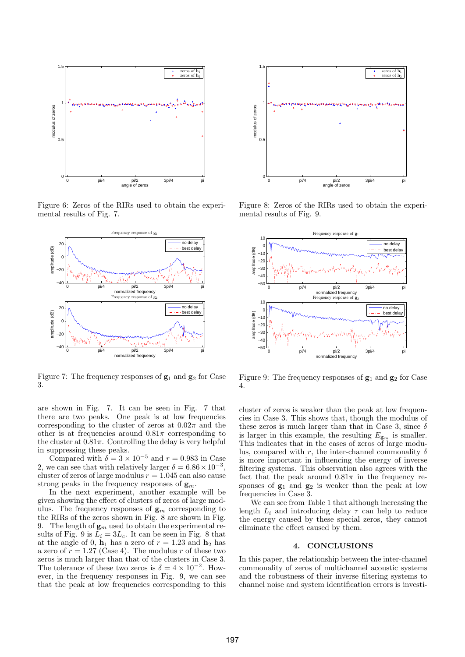

Figure 6: Zeros of the RIRs used to obtain the experimental results of Fig. 7.



Figure 7: The frequency responses of  $g_1$  and  $g_2$  for Case 3.

are shown in Fig. 7. It can be seen in Fig. 7 that there are two peaks. One peak is at low frequencies corresponding to the cluster of zeros at  $0.02\pi$  and the other is at frequencies around  $0.81\pi$  corresponding to the cluster at  $0.81\pi$ . Controlling the delay is very helpful in suppressing these peaks.

Compared with  $\delta = 3 \times 10^{-5}$  and  $r = 0.983$  in Case 2, we can see that with relatively larger  $\delta = 6.86 \times 10^{-3}$ , cluster of zeros of large modulus  $r = 1.045$  can also cause strong peaks in the frequency responses of  $\mathbf{g}_m$ .

In the next experiment, another example will be given showing the effect of clusters of zeros of large modulus. The frequency responses of  $\mathbf{g}_m$  corresponding to the RIRs of the zeros shown in Fig. 8 are shown in Fig. 9. The length of  $\mathbf{g}_m$  used to obtain the experimental results of Fig. 9 is  $L_i = 3L_c$ . It can be seen in Fig. 8 that at the angle of 0,  $\mathbf{h}_1$  has a zero of  $r = 1.23$  and  $\mathbf{h}_2$  has a zero of  $r = 1.27$  (Case 4). The modulus r of these two zeros is much larger than that of the clusters in Case 3. The tolerance of these two zeros is  $\delta = 4 \times 10^{-2}$ . However, in the frequency responses in Fig. 9, we can see that the peak at low frequencies corresponding to this



Figure 8: Zeros of the RIRs used to obtain the experimental results of Fig. 9.



Figure 9: The frequency responses of  $g_1$  and  $g_2$  for Case 4.

cluster of zeros is weaker than the peak at low frequencies in Case 3. This shows that, though the modulus of these zeros is much larger than that in Case 3, since  $\delta$ is larger in this example, the resulting  $E_{\mathbf{g}_m}$  is smaller. This indicates that in the cases of zeros of large modulus, compared with r, the inter-channel commonality  $\delta$ is more important in influencing the energy of inverse filtering systems. This observation also agrees with the fact that the peak around  $0.81\pi$  in the frequency responses of  $g_1$  and  $g_2$  is weaker than the peak at low frequencies in Case 3.

We can see from Table 1 that although increasing the length  $L_i$  and introducing delay  $\tau$  can help to reduce the energy caused by these special zeros, they cannot eliminate the effect caused by them.

## 4. CONCLUSIONS

In this paper, the relationship between the inter-channel commonality of zeros of multichannel acoustic systems and the robustness of their inverse filtering systems to channel noise and system identification errors is investi-